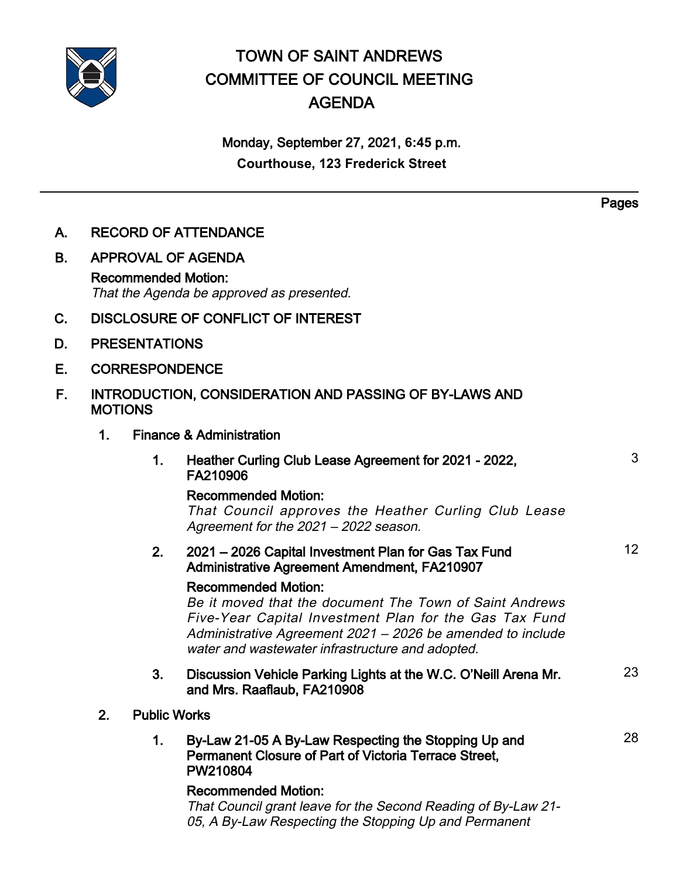

# TOWN OF SAINT ANDREWS COMMITTEE OF COUNCIL MEETING AGENDA

# Monday, September 27, 2021, **6:45** p.m. **Courthouse, 123 Frederick Street**

**Pages** 

| А. | <b>RECORD OF ATTENDANCE</b>                                              |                                                                                                                                                                                                                                                                   |    |
|----|--------------------------------------------------------------------------|-------------------------------------------------------------------------------------------------------------------------------------------------------------------------------------------------------------------------------------------------------------------|----|
| В. | <b>APPROVAL OF AGENDA</b>                                                |                                                                                                                                                                                                                                                                   |    |
|    | <b>Recommended Motion:</b><br>That the Agenda be approved as presented.  |                                                                                                                                                                                                                                                                   |    |
| C. | <b>DISCLOSURE OF CONFLICT OF INTEREST</b>                                |                                                                                                                                                                                                                                                                   |    |
| D. | <b>PRESENTATIONS</b>                                                     |                                                                                                                                                                                                                                                                   |    |
| Е. | <b>CORRESPONDENCE</b>                                                    |                                                                                                                                                                                                                                                                   |    |
| F. | INTRODUCTION, CONSIDERATION AND PASSING OF BY-LAWS AND<br><b>MOTIONS</b> |                                                                                                                                                                                                                                                                   |    |
|    | 1.                                                                       | <b>Finance &amp; Administration</b>                                                                                                                                                                                                                               |    |
|    |                                                                          | 1.<br>Heather Curling Club Lease Agreement for 2021 - 2022,<br>FA210906                                                                                                                                                                                           | 3  |
|    |                                                                          | <b>Recommended Motion:</b><br>That Council approves the Heather Curling Club Lease<br>Agreement for the 2021 - 2022 season.                                                                                                                                       |    |
|    |                                                                          | 2021 - 2026 Capital Investment Plan for Gas Tax Fund<br>2.<br><b>Administrative Agreement Amendment, FA210907</b>                                                                                                                                                 | 12 |
|    |                                                                          | <b>Recommended Motion:</b><br>Be it moved that the document The Town of Saint Andrews<br>Five-Year Capital Investment Plan for the Gas Tax Fund<br>Administrative Agreement 2021 - 2026 be amended to include<br>water and wastewater infrastructure and adopted. |    |
|    |                                                                          | 3.<br>Discussion Vehicle Parking Lights at the W.C. O'Neill Arena Mr.<br>and Mrs. Raaflaub, FA210908                                                                                                                                                              | 23 |
|    | <b>Public Works</b><br>2.                                                |                                                                                                                                                                                                                                                                   |    |
|    |                                                                          | 1.<br>By-Law 21-05 A By-Law Respecting the Stopping Up and<br><b>Permanent Closure of Part of Victoria Terrace Street,</b><br>PW210804                                                                                                                            | 28 |
|    |                                                                          | <b>Recommended Motion:</b><br>That Council grant leave for the Second Reading of By-Law 21-<br>05, A By-Law Respecting the Stopping Up and Permanent                                                                                                              |    |